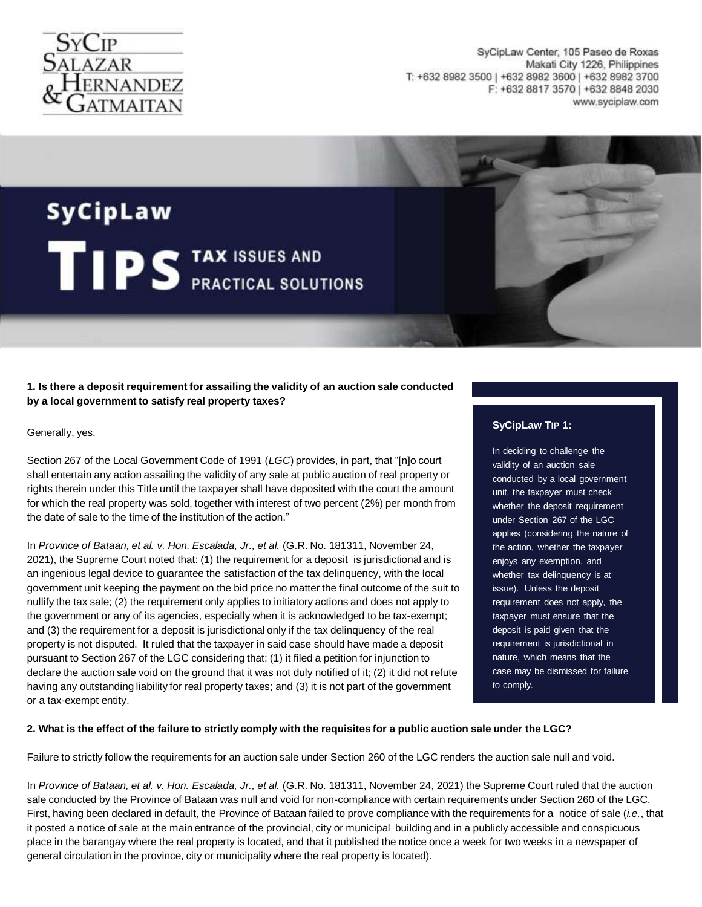

SyCipLaw Center, 105 Paseo de Roxas Makati City 1226, Philippines T: +632 8982 3500 | +632 8982 3600 | +632 8982 3700 F: +632 8817 3570 | +632 8848 2030 www.syciplaw.com

# SyCipLaw TIPS TAX ISSUES AND

# **1. Is there a deposit requirement for assailing the validity of an auction sale conducted by a local government to satisfy real property taxes?**

Generally, yes.

Section 267 of the Local Government Code of 1991 (*LGC*) provides, in part, that "[n]o court shall entertain any action assailing the validity of any sale at public auction of real property or rights therein under this Title until the taxpayer shall have deposited with the court the amount for which the real property was sold, together with interest of two percent (2%) per month from the date of sale to the time of the institution of the action."

In *Province of Bataan, et al. v. Hon. Escalada, Jr., et al.* (G.R. No. 181311, November 24, 2021), the Supreme Court noted that: (1) the requirement for a deposit is jurisdictional and is an ingenious legal device to guarantee the satisfaction of the tax delinquency, with the local government unit keeping the payment on the bid price no matter the final outcome of the suit to nullify the tax sale; (2) the requirement only applies to initiatory actions and does not apply to the government or any of its agencies, especially when it is acknowledged to be tax-exempt; and (3) the requirement for a deposit is jurisdictional only if the tax delinquency of the real property is not disputed. It ruled that the taxpayer in said case should have made a deposit pursuant to Section 267 of the LGC considering that: (1) it filed a petition for injunction to declare the auction sale void on the ground that it was not duly notified of it; (2) it did not refute having any outstanding liability for real property taxes; and (3) it is not part of the government or a tax-exempt entity.

# **SyCipLaw TIP 1:**

In deciding to challenge the validity of an auction sale conducted by a local government unit, the taxpayer must check whether the deposit requirement under Section 267 of the LGC applies (considering the nature of the action, whether the taxpayer enjoys any exemption, and whether tax delinquency is at issue). Unless the deposit requirement does not apply, the taxpayer must ensure that the deposit is paid given that the requirement is jurisdictional in nature, which means that the case may be dismissed for failure to comply.

## **2. What is the effect of the failure to strictly comply with the requisites for a public auction sale under the LGC?**

Failure to strictly follow the requirements for an auction sale under Section 260 of the LGC renders the auction sale null and void.

In *Province of Bataan, et al. v. Hon. Escalada, Jr., et al.* (G.R. No. 181311, November 24, 2021) the Supreme Court ruled that the auction sale conducted by the Province of Bataan was null and void for non-compliance with certain requirements under Section 260 of the LGC. First, having been declared in default, the Province of Bataan failed to prove compliance with the requirements for a notice of sale (*i.e.*, that it posted a notice of sale at the main entrance of the provincial, city or municipal building and in a publicly accessible and conspicuous place in the barangay where the real property is located, and that it published the notice once a week for two weeks in a newspaper of general circulation in the province, city or municipality where the real property is located).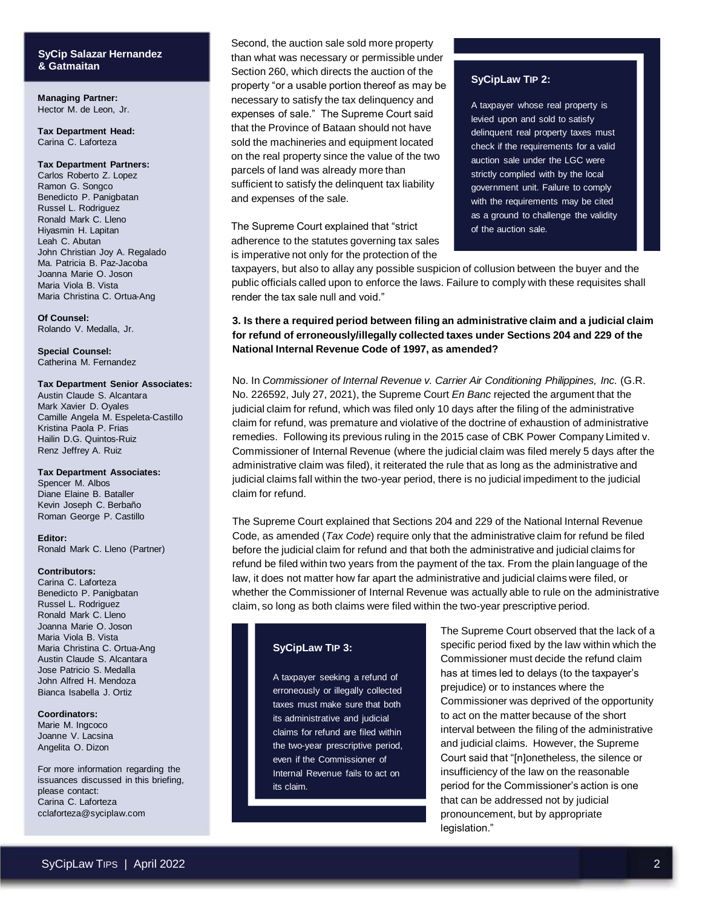# **SyCip Salazar Hernandez & Gatmaitan**

**Managing Partner:** Hector M. de Leon, Jr.

**Tax Department Head:** Carina C. Laforteza

#### **Tax Department Partners:**

Carlos Roberto Z. Lopez Ramon G. Songco Benedicto P. Panigbatan Russel L. Rodriguez Ronald Mark C. Lleno Hiyasmin H. Lapitan Leah C. Abutan John Christian Joy A. Regalado Ma. Patricia B. Paz-Jacoba Joanna Marie O. Joson Maria Viola B. Vista Maria Christina C. Ortua-Ang

**Of Counsel:** Rolando V. Medalla, Jr.

**Special Counsel:** Catherina M. Fernandez

#### **Tax Department Senior Associates:**

Austin Claude S. Alcantara Mark Xavier D. Oyales Camille Angela M. Espeleta-Castillo Kristina Paola P. Frias Hailin D.G. Quintos-Ruiz Renz Jeffrey A. Ruiz

#### **Tax Department Associates:**

Spencer M. Albos Diane Elaine B. Bataller Kevin Joseph C. Berbaño Roman George P. Castillo

**Editor:** Ronald Mark C. Lleno (Partner)

#### **Contributors:**

Carina C. Laforteza Benedicto P. Panigbatan Russel L. Rodriguez Ronald Mark C. Lleno Joanna Marie O. Joson Maria Viola B. Vista Maria Christina C. Ortua-Ang Austin Claude S. Alcantara Jose Patricio S. Medalla John Alfred H. Mendoza Bianca Isabella J. Ortiz

#### **Coordinators:**

Marie M. Ingcoco Joanne V. Lacsina Angelita O. Dizon

For more information regarding the issuances discussed in this briefing, please contact: Carina C. Laforteza cclaforteza@syciplaw.com

Second, the auction sale sold more property than what was necessary or permissible under Section 260, which directs the auction of the property "or a usable portion thereof as may be necessary to satisfy the tax delinquency and expenses of sale." The Supreme Court said that the Province of Bataan should not have sold the machineries and equipment located on the real property since the value of the two parcels of land was already more than sufficient to satisfy the delinquent tax liability and expenses of the sale.

The Supreme Court explained that "strict adherence to the statutes governing tax sales is imperative not only for the protection of the

#### **SyCipLaw TIP 2:**

A taxpayer whose real property is levied upon and sold to satisfy delinquent real property taxes must check if the requirements for a valid auction sale under the LGC were strictly complied with by the local government unit. Failure to comply with the requirements may be cited as a ground to challenge the validity of the auction sale.

taxpayers, but also to allay any possible suspicion of collusion between the buyer and the public officials called upon to enforce the laws. Failure to comply with these requisites shall render the tax sale null and void."

**3. Is there a required period between filing an administrative claim and a judicial claim for refund of erroneously/illegally collected taxes under Sections 204 and 229 of the National Internal Revenue Code of 1997, as amended?**

No. In *Commissioner of Internal Revenue v. Carrier Air Conditioning Philippines, Inc.* (G.R. No. 226592, July 27, 2021), the Supreme Court *En Banc* rejected the argument that the judicial claim for refund, which was filed only 10 days after the filing of the administrative claim for refund, was premature and violative of the doctrine of exhaustion of administrative remedies. Following its previous ruling in the 2015 case of CBK Power Company Limited v. Commissioner of Internal Revenue (where the judicial claim was filed merely 5 days after the administrative claim was filed), it reiterated the rule that as long as the administrative and judicial claims fall within the two-year period, there is no judicial impediment to the judicial claim for refund.

The Supreme Court explained that Sections 204 and 229 of the National Internal Revenue Code, as amended (*Tax Code*) require only that the administrative claim for refund be filed before the judicial claim for refund and that both the administrative and judicial claims for refund be filed within two years from the payment of the tax. From the plain language of the law, it does not matter how far apart the administrative and judicial claims were filed, or whether the Commissioner of Internal Revenue was actually able to rule on the administrative claim, so long as both claims were filed within the two-year prescriptive period.

## **SyCipLaw TIP 3:**

A taxpayer seeking a refund of erroneously or illegally collected taxes must make sure that both its administrative and judicial claims for refund are filed within the two-year prescriptive period, even if the Commissioner of Internal Revenue fails to act on its claim.

The Supreme Court observed that the lack of a specific period fixed by the law within which the Commissioner must decide the refund claim has at times led to delays (to the taxpayer's prejudice) or to instances where the Commissioner was deprived of the opportunity to act on the matter because of the short interval between the filing of the administrative and judicial claims. However, the Supreme Court said that "[n]onetheless, the silence or insufficiency of the law on the reasonable period for the Commissioner's action is one that can be addressed not by judicial pronouncement, but by appropriate legislation."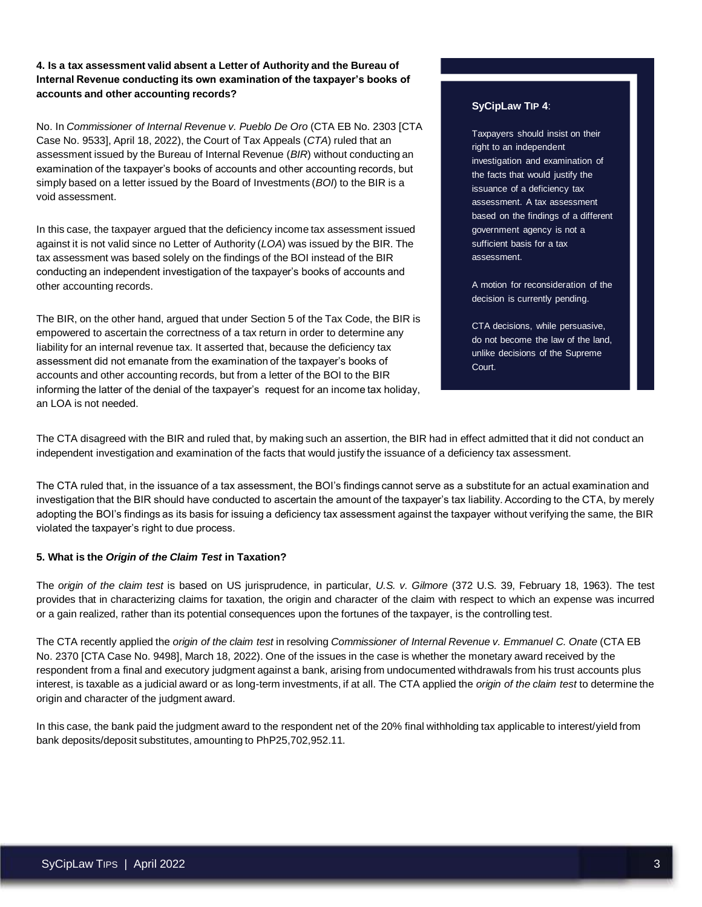**4. Is a tax assessment valid absent a Letter of Authority and the Bureau of Internal Revenue conducting its own examination of the taxpayer's books of accounts and other accounting records?** 

No. In *Commissioner of Internal Revenue v. Pueblo De Oro* (CTA EB No. 2303 [CTA Case No. 9533], April 18, 2022), the Court of Tax Appeals (*CTA*) ruled that an assessment issued by the Bureau of Internal Revenue (*BIR*) without conducting an examination of the taxpayer's books of accounts and other accounting records, but simply based on a letter issued by the Board of Investments (*BOI*) to the BIR is a void assessment.

In this case, the taxpayer argued that the deficiency income tax assessment issued against it is not valid since no Letter of Authority (*LOA*) was issued by the BIR. The tax assessment was based solely on the findings of the BOI instead of the BIR conducting an independent investigation of the taxpayer's books of accounts and other accounting records.

The BIR, on the other hand, argued that under Section 5 of the Tax Code, the BIR is empowered to ascertain the correctness of a tax return in order to determine any liability for an internal revenue tax. It asserted that, because the deficiency tax assessment did not emanate from the examination of the taxpayer's books of accounts and other accounting records, but from a letter of the BOI to the BIR informing the latter of the denial of the taxpayer's request for an income tax holiday, an LOA is not needed.

# **SyCipLaw TIP 4**:

Taxpayers should insist on their right to an independent investigation and examination of the facts that would justify the issuance of a deficiency tax assessment. A tax assessment based on the findings of a different government agency is not a sufficient basis for a tax assessment.

A motion for reconsideration of the decision is currently pending.

CTA decisions, while persuasive, do not become the law of the land, unlike decisions of the Supreme Court.

The CTA disagreed with the BIR and ruled that, by making such an assertion, the BIR had in effect admitted that it did not conduct an independent investigation and examination of the facts that would justify the issuance of a deficiency tax assessment.

The CTA ruled that, in the issuance of a tax assessment, the BOI's findings cannot serve as a substitute for an actual examination and investigation that the BIR should have conducted to ascertain the amount of the taxpayer's tax liability. According to the CTA, by merely adopting the BOI's findings as its basis for issuing a deficiency tax assessment against the taxpayer without verifying the same, the BIR violated the taxpayer's right to due process.

# **5. What is the** *Origin of the Claim Test* **in Taxation?**

The *origin of the claim test* is based on US jurisprudence, in particular, *U.S. v. Gilmore* (372 U.S. 39, February 18, 1963). The test provides that in characterizing claims for taxation, the origin and character of the claim with respect to which an expense was incurred or a gain realized, rather than its potential consequences upon the fortunes of the taxpayer, is the controlling test.

The CTA recently applied the *origin of the claim test* in resolving *Commissioner of Internal Revenue v. Emmanuel C. Onate* (CTA EB No. 2370 [CTA Case No. 9498], March 18, 2022). One of the issues in the case is whether the monetary award received by the respondent from a final and executory judgment against a bank, arising from undocumented withdrawals from his trust accounts plus interest, is taxable as a judicial award or as long-term investments, if at all. The CTA applied the *origin of the claim test* to determine the origin and character of the judgment award.

In this case, the bank paid the judgment award to the respondent net of the 20% final withholding tax applicable to interest/yield from bank deposits/deposit substitutes, amounting to PhP25,702,952.11.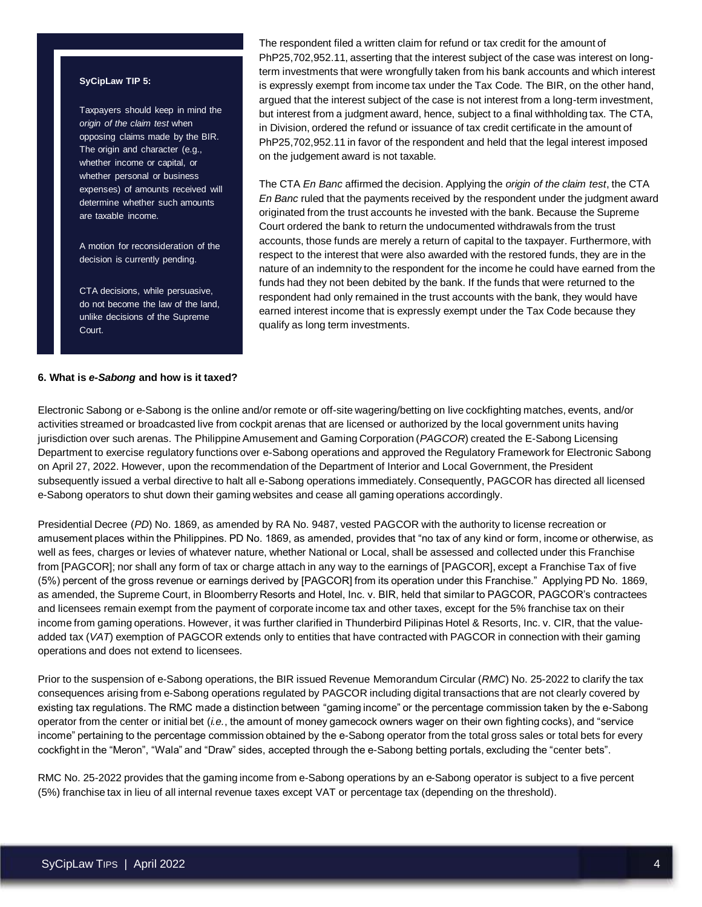#### **SyCipLaw TIP 5:**

Taxpayers should keep in mind the *origin of the claim test* when opposing claims made by the BIR. The origin and character (e.g., whether income or capital, or whether personal or business expenses) of amounts received will determine whether such amounts are taxable income.

A motion for reconsideration of the decision is currently pending.

CTA decisions, while persuasive, do not become the law of the land, unlike decisions of the Supreme Court.

# The respondent filed a written claim for refund or tax credit for the amount of PhP25,702,952.11, asserting that the interest subject of the case was interest on longterm investments that were wrongfully taken from his bank accounts and which interest is expressly exempt from income tax under the Tax Code. The BIR, on the other hand, argued that the interest subject of the case is not interest from a long-term investment, but interest from a judgment award, hence, subject to a final withholding tax. The CTA, in Division, ordered the refund or issuance of tax credit certificate in the amount of PhP25,702,952.11 in favor of the respondent and held that the legal interest imposed on the judgement award is not taxable.

The CTA *En Banc* affirmed the decision. Applying the *origin of the claim test*, the CTA *En Banc* ruled that the payments received by the respondent under the judgment award originated from the trust accounts he invested with the bank. Because the Supreme Court ordered the bank to return the undocumented withdrawals from the trust accounts, those funds are merely a return of capital to the taxpayer. Furthermore, with respect to the interest that were also awarded with the restored funds, they are in the nature of an indemnity to the respondent for the income he could have earned from the funds had they not been debited by the bank. If the funds that were returned to the respondent had only remained in the trust accounts with the bank, they would have earned interest income that is expressly exempt under the Tax Code because they qualify as long term investments.

## **6. What is** *e-Sabong* **and how is it taxed?**

Electronic Sabong or e-Sabong is the online and/or remote or off-site wagering/betting on live cockfighting matches, events, and/or activities streamed or broadcasted live from cockpit arenas that are licensed or authorized by the local government units having jurisdiction over such arenas. The Philippine Amusement and Gaming Corporation (*PAGCOR*) created the E-Sabong Licensing Department to exercise regulatory functions over e-Sabong operations and approved the Regulatory Framework for Electronic Sabong on April 27, 2022. However, upon the recommendation of the Department of Interior and Local Government, the President subsequently issued a verbal directive to halt all e-Sabong operations immediately. Consequently, PAGCOR has directed all licensed e-Sabong operators to shut down their gaming websites and cease all gaming operations accordingly.

Presidential Decree (*PD*) No. 1869, as amended by RA No. 9487, vested PAGCOR with the authority to license recreation or amusement places within the Philippines. PD No. 1869, as amended, provides that "no tax of any kind or form, income or otherwise, as well as fees, charges or levies of whatever nature, whether National or Local, shall be assessed and collected under this Franchise from [PAGCOR]; nor shall any form of tax or charge attach in any way to the earnings of [PAGCOR], except a Franchise Tax of five (5%) percent of the gross revenue or earnings derived by [PAGCOR] from its operation under this Franchise." Applying PD No. 1869, as amended, the Supreme Court, in Bloomberry Resorts and Hotel, Inc. v. BIR, held that similar to PAGCOR, PAGCOR's contractees and licensees remain exempt from the payment of corporate income tax and other taxes, except for the 5% franchise tax on their income from gaming operations. However, it was further clarified in Thunderbird Pilipinas Hotel & Resorts, Inc. v. CIR, that the valueadded tax (*VAT*) exemption of PAGCOR extends only to entities that have contracted with PAGCOR in connection with their gaming operations and does not extend to licensees.

Prior to the suspension of e-Sabong operations, the BIR issued Revenue Memorandum Circular (*RMC*) No. 25-2022 to clarify the tax consequences arising from e-Sabong operations regulated by PAGCOR including digital transactions that are not clearly covered by existing tax regulations. The RMC made a distinction between "gaming income" or the percentage commission taken by the e-Sabong operator from the center or initial bet (*i.e.*, the amount of money gamecock owners wager on their own fighting cocks), and "service income" pertaining to the percentage commission obtained by the e-Sabong operator from the total gross sales or total bets for every cockfight in the "Meron", "Wala" and "Draw" sides, accepted through the e-Sabong betting portals, excluding the "center bets".

RMC No. 25-2022 provides that the gaming income from e-Sabong operations by an e-Sabong operator is subject to a five percent (5%) franchise tax in lieu of all internal revenue taxes except VAT or percentage tax (depending on the threshold).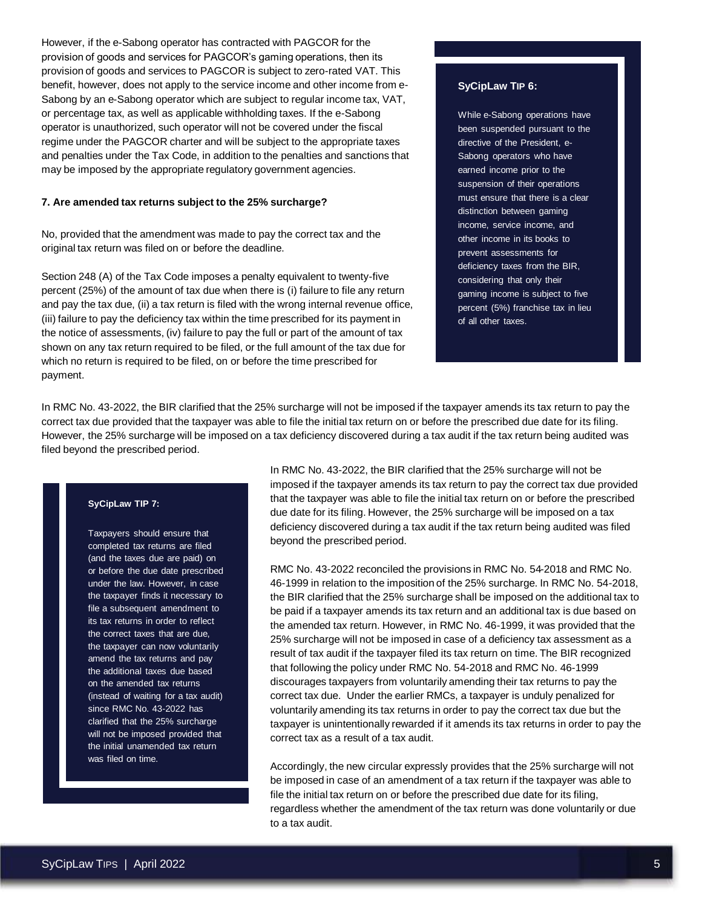However, if the e-Sabong operator has contracted with PAGCOR for the provision of goods and services for PAGCOR's gaming operations, then its provision of goods and services to PAGCOR is subject to zero-rated VAT. This benefit, however, does not apply to the service income and other income from e-Sabong by an e-Sabong operator which are subject to regular income tax, VAT, or percentage tax, as well as applicable withholding taxes. If the e-Sabong operator is unauthorized, such operator will not be covered under the fiscal regime under the PAGCOR charter and will be subject to the appropriate taxes and penalties under the Tax Code, in addition to the penalties and sanctions that may be imposed by the appropriate regulatory government agencies.

## **7. Are amended tax returns subject to the 25% surcharge?**

No, provided that the amendment was made to pay the correct tax and the original tax return was filed on or before the deadline.

Section 248 (A) of the Tax Code imposes a penalty equivalent to twenty-five percent (25%) of the amount of tax due when there is (i) failure to file any return and pay the tax due, (ii) a tax return is filed with the wrong internal revenue office, (iii) failure to pay the deficiency tax within the time prescribed for its payment in the notice of assessments, (iv) failure to pay the full or part of the amount of tax shown on any tax return required to be filed, or the full amount of the tax due for which no return is required to be filed, on or before the time prescribed for payment.

## **SyCipLaw TIP 6:**

While e-Sabong operations have been suspended pursuant to the directive of the President, e-Sabong operators who have earned income prior to the suspension of their operations must ensure that there is a clear distinction between gaming income, service income, and other income in its books to prevent assessments for deficiency taxes from the BIR, considering that only their gaming income is subject to five percent (5%) franchise tax in lieu of all other taxes.

In RMC No. 43-2022, the BIR clarified that the 25% surcharge will not be imposed if the taxpayer amends its tax return to pay the correct tax due provided that the taxpayer was able to file the initial tax return on or before the prescribed due date for its filing. However, the 25% surcharge will be imposed on a tax deficiency discovered during a tax audit if the tax return being audited was filed beyond the prescribed period.

#### **SyCipLaw TIP 7:**

Taxpayers should ensure that completed tax returns are filed (and the taxes due are paid) on or before the due date prescribed under the law. However, in case the taxpayer finds it necessary to file a subsequent amendment to its tax returns in order to reflect the correct taxes that are due, the taxpayer can now voluntarily amend the tax returns and pay the additional taxes due based on the amended tax returns (instead of waiting for a tax audit) since RMC No. 43-2022 has clarified that the 25% surcharge will not be imposed provided that the initial unamended tax return was filed on time.

In RMC No. 43-2022, the BIR clarified that the 25% surcharge will not be imposed if the taxpayer amends its tax return to pay the correct tax due provided that the taxpayer was able to file the initial tax return on or before the prescribed due date for its filing. However, the 25% surcharge will be imposed on a tax deficiency discovered during a tax audit if the tax return being audited was filed beyond the prescribed period.

RMC No. 43-2022 reconciled the provisions in RMC No. 54-2018 and RMC No. 46-1999 in relation to the imposition of the 25% surcharge. In RMC No. 54-2018, the BIR clarified that the 25% surcharge shall be imposed on the additional tax to be paid if a taxpayer amends its tax return and an additional tax is due based on the amended tax return. However, in RMC No. 46-1999, it was provided that the 25% surcharge will not be imposed in case of a deficiency tax assessment as a result of tax audit if the taxpayer filed its tax return on time. The BIR recognized that following the policy under RMC No. 54-2018 and RMC No. 46-1999 discourages taxpayers from voluntarily amending their tax returns to pay the correct tax due. Under the earlier RMCs, a taxpayer is unduly penalized for voluntarily amending its tax returns in order to pay the correct tax due but the taxpayer is unintentionally rewarded if it amends its tax returns in order to pay the correct tax as a result of a tax audit.

Accordingly, the new circular expressly provides that the 25% surcharge will not be imposed in case of an amendment of a tax return if the taxpayer was able to file the initial tax return on or before the prescribed due date for its filing, regardless whether the amendment of the tax return was done voluntarily or due to a tax audit.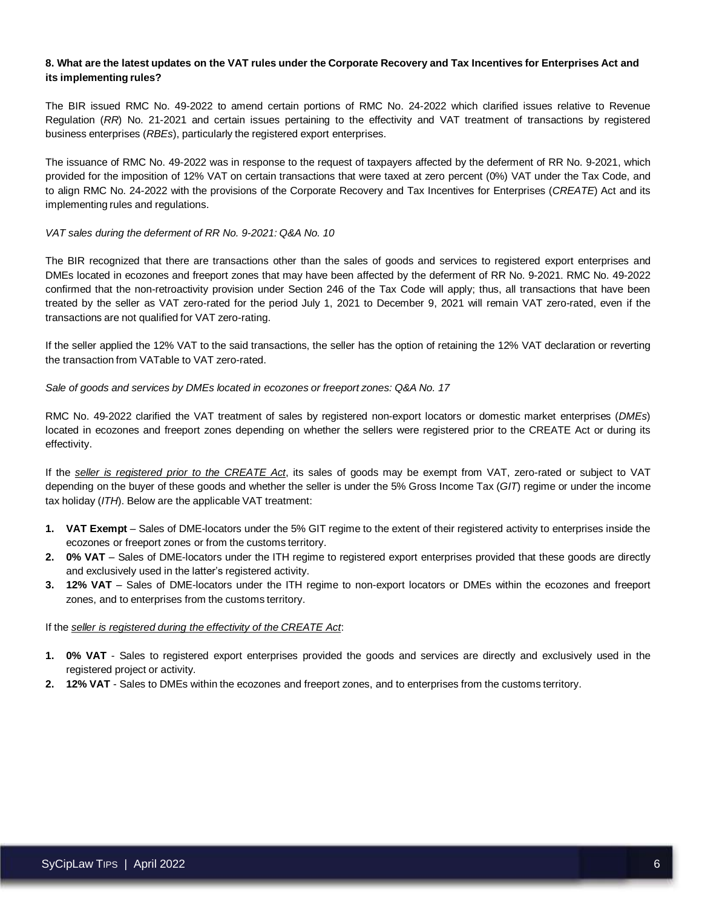# **8. What are the latest updates on the VAT rules under the Corporate Recovery and Tax Incentives for Enterprises Act and its implementing rules?**

The BIR issued RMC No. 49-2022 to amend certain portions of RMC No. 24-2022 which clarified issues relative to Revenue Regulation (*RR*) No. 21-2021 and certain issues pertaining to the effectivity and VAT treatment of transactions by registered business enterprises (*RBEs*), particularly the registered export enterprises.

The issuance of RMC No. 49-2022 was in response to the request of taxpayers affected by the deferment of RR No. 9-2021, which provided for the imposition of 12% VAT on certain transactions that were taxed at zero percent (0%) VAT under the Tax Code, and to align RMC No. 24-2022 with the provisions of the Corporate Recovery and Tax Incentives for Enterprises (*CREATE*) Act and its implementing rules and regulations.

## *VAT sales during the deferment of RR No. 9-2021: Q&A No. 10*

The BIR recognized that there are transactions other than the sales of goods and services to registered export enterprises and DMEs located in ecozones and freeport zones that may have been affected by the deferment of RR No. 9-2021. RMC No. 49-2022 confirmed that the non-retroactivity provision under Section 246 of the Tax Code will apply; thus, all transactions that have been treated by the seller as VAT zero-rated for the period July 1, 2021 to December 9, 2021 will remain VAT zero-rated, even if the transactions are not qualified for VAT zero-rating.

If the seller applied the 12% VAT to the said transactions, the seller has the option of retaining the 12% VAT declaration or reverting the transaction from VATable to VAT zero-rated.

## *Sale of goods and services by DMEs located in ecozones or freeport zones: Q&A No. 17*

RMC No. 49-2022 clarified the VAT treatment of sales by registered non-export locators or domestic market enterprises (*DMEs*) located in ecozones and freeport zones depending on whether the sellers were registered prior to the CREATE Act or during its effectivity.

If the *seller is registered prior to the CREATE Act*, its sales of goods may be exempt from VAT, zero-rated or subject to VAT depending on the buyer of these goods and whether the seller is under the 5% Gross Income Tax (*GIT*) regime or under the income tax holiday (*ITH*). Below are the applicable VAT treatment:

- **1. VAT Exempt** Sales of DME-locators under the 5% GIT regime to the extent of their registered activity to enterprises inside the ecozones or freeport zones or from the customs territory.
- **2. 0% VAT** Sales of DME-locators under the ITH regime to registered export enterprises provided that these goods are directly and exclusively used in the latter's registered activity.
- **3. 12% VAT** Sales of DME-locators under the ITH regime to non-export locators or DMEs within the ecozones and freeport zones, and to enterprises from the customs territory.

#### If the *seller is registered during the effectivity of the CREATE Act*:

- **1. 0% VAT** Sales to registered export enterprises provided the goods and services are directly and exclusively used in the registered project or activity.
- **2. 12% VAT** Sales to DMEs within the ecozones and freeport zones, and to enterprises from the customs territory.